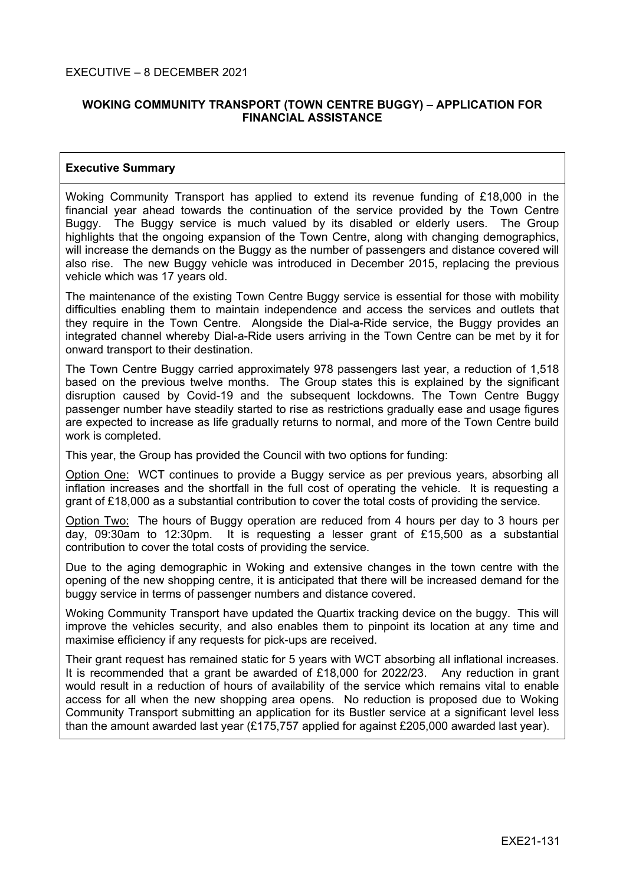# **WOKING COMMUNITY TRANSPORT (TOWN CENTRE BUGGY) – APPLICATION FOR FINANCIAL ASSISTANCE**

### **Executive Summary**

Woking Community Transport has applied to extend its revenue funding of £18,000 in the financial year ahead towards the continuation of the service provided by the Town Centre Buggy. The Buggy service is much valued by its disabled or elderly users. The Group highlights that the ongoing expansion of the Town Centre, along with changing demographics, will increase the demands on the Buggy as the number of passengers and distance covered will also rise. The new Buggy vehicle was introduced in December 2015, replacing the previous vehicle which was 17 years old.

The maintenance of the existing Town Centre Buggy service is essential for those with mobility difficulties enabling them to maintain independence and access the services and outlets that they require in the Town Centre. Alongside the Dial-a-Ride service, the Buggy provides an integrated channel whereby Dial-a-Ride users arriving in the Town Centre can be met by it for onward transport to their destination.

The Town Centre Buggy carried approximately 978 passengers last year, a reduction of 1,518 based on the previous twelve months. The Group states this is explained by the significant disruption caused by Covid-19 and the subsequent lockdowns. The Town Centre Buggy passenger number have steadily started to rise as restrictions gradually ease and usage figures are expected to increase as life gradually returns to normal, and more of the Town Centre build work is completed.

This year, the Group has provided the Council with two options for funding:

Option One: WCT continues to provide a Buggy service as per previous years, absorbing all inflation increases and the shortfall in the full cost of operating the vehicle. It is requesting a grant of £18,000 as a substantial contribution to cover the total costs of providing the service.

Option Two: The hours of Buggy operation are reduced from 4 hours per day to 3 hours per day, 09:30am to 12:30pm. It is requesting a lesser grant of £15,500 as a substantial contribution to cover the total costs of providing the service.

Due to the aging demographic in Woking and extensive changes in the town centre with the opening of the new shopping centre, it is anticipated that there will be increased demand for the buggy service in terms of passenger numbers and distance covered.

Woking Community Transport have updated the Quartix tracking device on the buggy. This will improve the vehicles security, and also enables them to pinpoint its location at any time and maximise efficiency if any requests for pick-ups are received.

Their grant request has remained static for 5 years with WCT absorbing all inflational increases. It is recommended that a grant be awarded of £18,000 for 2022/23. Any reduction in grant would result in a reduction of hours of availability of the service which remains vital to enable access for all when the new shopping area opens. No reduction is proposed due to Woking Community Transport submitting an application for its Bustler service at a significant level less than the amount awarded last year (£175,757 applied for against £205,000 awarded last year).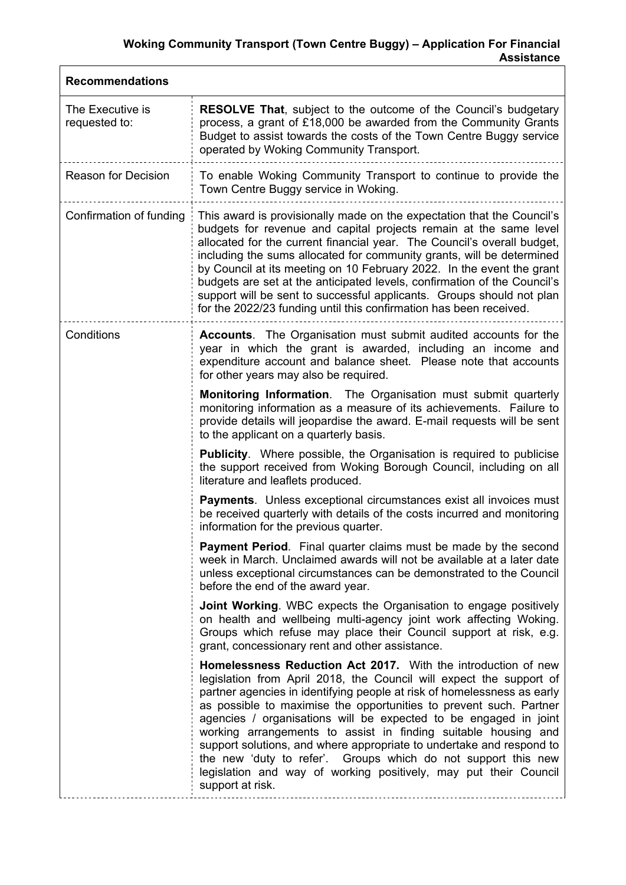# **Woking Community Transport (Town Centre Buggy) – Application For Financial Assistance**

| <b>Recommendations</b>            |                                                                                                                                                                                                                                                                                                                                                                                                                                                                                                                                                                                                                                                              |  |
|-----------------------------------|--------------------------------------------------------------------------------------------------------------------------------------------------------------------------------------------------------------------------------------------------------------------------------------------------------------------------------------------------------------------------------------------------------------------------------------------------------------------------------------------------------------------------------------------------------------------------------------------------------------------------------------------------------------|--|
| The Executive is<br>requested to: | <b>RESOLVE That, subject to the outcome of the Council's budgetary</b><br>process, a grant of £18,000 be awarded from the Community Grants<br>Budget to assist towards the costs of the Town Centre Buggy service<br>operated by Woking Community Transport.                                                                                                                                                                                                                                                                                                                                                                                                 |  |
| <b>Reason for Decision</b>        | To enable Woking Community Transport to continue to provide the<br>Town Centre Buggy service in Woking.                                                                                                                                                                                                                                                                                                                                                                                                                                                                                                                                                      |  |
| Confirmation of funding           | This award is provisionally made on the expectation that the Council's<br>budgets for revenue and capital projects remain at the same level<br>allocated for the current financial year. The Council's overall budget,<br>including the sums allocated for community grants, will be determined<br>by Council at its meeting on 10 February 2022. In the event the grant<br>budgets are set at the anticipated levels, confirmation of the Council's<br>support will be sent to successful applicants. Groups should not plan<br>for the 2022/23 funding until this confirmation has been received.                                                          |  |
| Conditions                        | <b>Accounts.</b> The Organisation must submit audited accounts for the<br>year in which the grant is awarded, including an income and<br>expenditure account and balance sheet. Please note that accounts<br>for other years may also be required.                                                                                                                                                                                                                                                                                                                                                                                                           |  |
|                                   | Monitoring Information. The Organisation must submit quarterly<br>monitoring information as a measure of its achievements. Failure to<br>provide details will jeopardise the award. E-mail requests will be sent<br>to the applicant on a quarterly basis.                                                                                                                                                                                                                                                                                                                                                                                                   |  |
|                                   | <b>Publicity.</b> Where possible, the Organisation is required to publicise<br>the support received from Woking Borough Council, including on all<br>literature and leaflets produced.                                                                                                                                                                                                                                                                                                                                                                                                                                                                       |  |
|                                   | <b>Payments.</b> Unless exceptional circumstances exist all invoices must<br>be received quarterly with details of the costs incurred and monitoring<br>information for the previous quarter.                                                                                                                                                                                                                                                                                                                                                                                                                                                                |  |
|                                   | <b>Payment Period.</b> Final quarter claims must be made by the second<br>week in March. Unclaimed awards will not be available at a later date<br>unless exceptional circumstances can be demonstrated to the Council<br>before the end of the award year.                                                                                                                                                                                                                                                                                                                                                                                                  |  |
|                                   | <b>Joint Working.</b> WBC expects the Organisation to engage positively<br>on health and wellbeing multi-agency joint work affecting Woking.<br>Groups which refuse may place their Council support at risk, e.g.<br>grant, concessionary rent and other assistance.                                                                                                                                                                                                                                                                                                                                                                                         |  |
|                                   | Homelessness Reduction Act 2017. With the introduction of new<br>legislation from April 2018, the Council will expect the support of<br>partner agencies in identifying people at risk of homelessness as early<br>as possible to maximise the opportunities to prevent such. Partner<br>agencies / organisations will be expected to be engaged in joint<br>working arrangements to assist in finding suitable housing and<br>support solutions, and where appropriate to undertake and respond to<br>the new 'duty to refer'. Groups which do not support this new<br>legislation and way of working positively, may put their Council<br>support at risk. |  |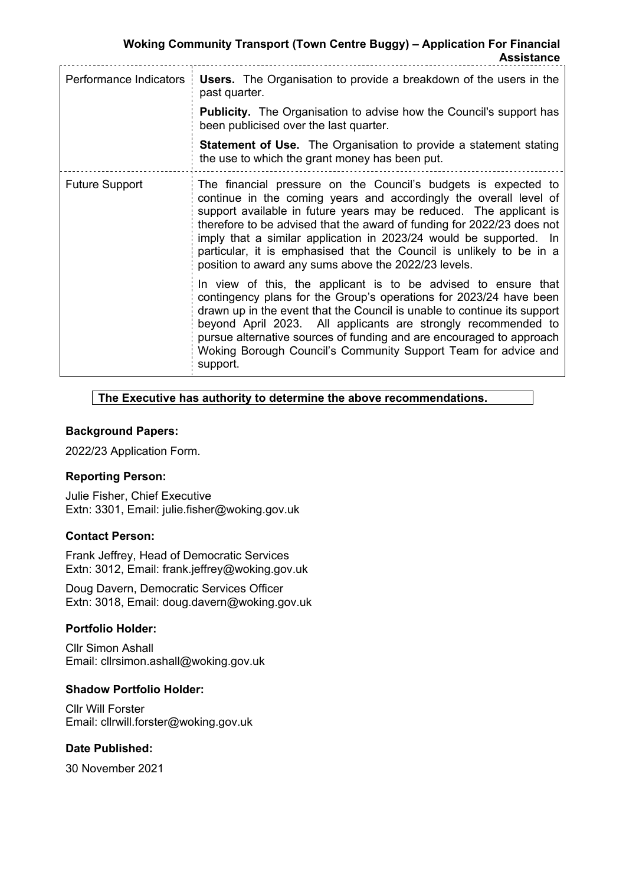**Woking Community Transport (Town Centre Buggy) – Application For Financial Assistance**

| Performance Indicators | <b>Users.</b> The Organisation to provide a breakdown of the users in the<br>past quarter.                                                                                                                                                                                                                                                                                                                                                                                                |
|------------------------|-------------------------------------------------------------------------------------------------------------------------------------------------------------------------------------------------------------------------------------------------------------------------------------------------------------------------------------------------------------------------------------------------------------------------------------------------------------------------------------------|
|                        | <b>Publicity.</b> The Organisation to advise how the Council's support has<br>been publicised over the last quarter.                                                                                                                                                                                                                                                                                                                                                                      |
|                        | <b>Statement of Use.</b> The Organisation to provide a statement stating<br>the use to which the grant money has been put.                                                                                                                                                                                                                                                                                                                                                                |
| <b>Future Support</b>  | The financial pressure on the Council's budgets is expected to<br>continue in the coming years and accordingly the overall level of<br>support available in future years may be reduced. The applicant is<br>therefore to be advised that the award of funding for 2022/23 does not<br>imply that a similar application in 2023/24 would be supported. In<br>particular, it is emphasised that the Council is unlikely to be in a<br>position to award any sums above the 2022/23 levels. |
|                        | In view of this, the applicant is to be advised to ensure that<br>contingency plans for the Group's operations for 2023/24 have been<br>drawn up in the event that the Council is unable to continue its support<br>beyond April 2023. All applicants are strongly recommended to<br>pursue alternative sources of funding and are encouraged to approach<br>Woking Borough Council's Community Support Team for advice and<br>support.                                                   |

#### **The Executive has authority to determine the above recommendations.**

#### **Background Papers:**

2022/23 Application Form.

#### **Reporting Person:**

Julie Fisher, Chief Executive Extn: 3301, Email: julie.fisher@woking.gov.uk

#### **Contact Person:**

Frank Jeffrey, Head of Democratic Services Extn: 3012, Email: frank.jeffrey@woking.gov.uk

Doug Davern, Democratic Services Officer Extn: 3018, Email: doug.davern@woking.gov.uk

#### **Portfolio Holder:**

Cllr Simon Ashall Email: cllrsimon.ashall@woking.gov.uk

# **Shadow Portfolio Holder:**

Cllr Will Forster Email: cllrwill.forster@woking.gov.uk

### **Date Published:**

30 November 2021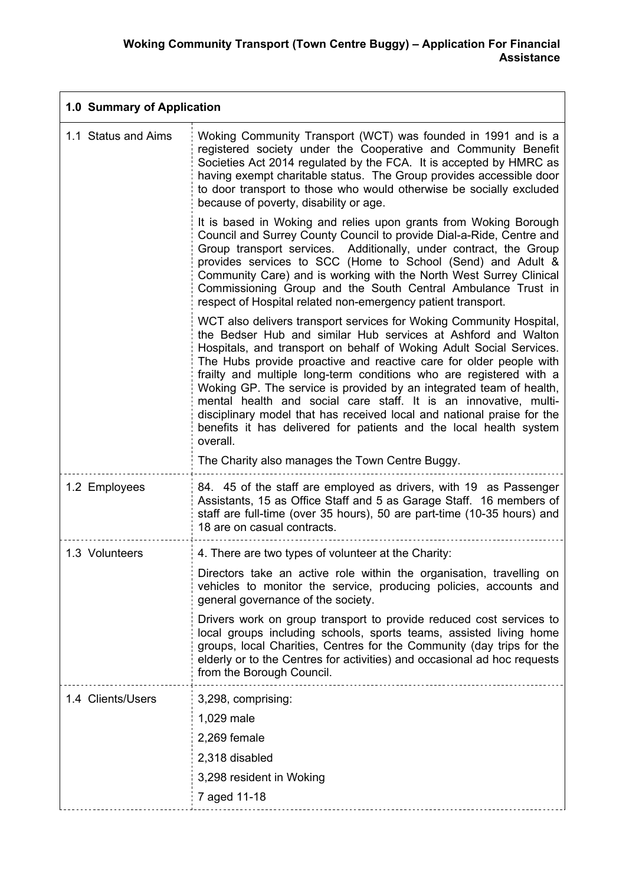| 1.0 Summary of Application |                                                                                                                                                                                                                                                                                                                                                                                                                                                                                                                                                                                                                                                                                                                    |  |
|----------------------------|--------------------------------------------------------------------------------------------------------------------------------------------------------------------------------------------------------------------------------------------------------------------------------------------------------------------------------------------------------------------------------------------------------------------------------------------------------------------------------------------------------------------------------------------------------------------------------------------------------------------------------------------------------------------------------------------------------------------|--|
| 1.1 Status and Aims        | Woking Community Transport (WCT) was founded in 1991 and is a<br>registered society under the Cooperative and Community Benefit<br>Societies Act 2014 regulated by the FCA. It is accepted by HMRC as<br>having exempt charitable status. The Group provides accessible door<br>to door transport to those who would otherwise be socially excluded<br>because of poverty, disability or age.                                                                                                                                                                                                                                                                                                                      |  |
|                            | It is based in Woking and relies upon grants from Woking Borough<br>Council and Surrey County Council to provide Dial-a-Ride, Centre and<br>Group transport services. Additionally, under contract, the Group<br>provides services to SCC (Home to School (Send) and Adult &<br>Community Care) and is working with the North West Surrey Clinical<br>Commissioning Group and the South Central Ambulance Trust in<br>respect of Hospital related non-emergency patient transport.                                                                                                                                                                                                                                 |  |
|                            | WCT also delivers transport services for Woking Community Hospital,<br>the Bedser Hub and similar Hub services at Ashford and Walton<br>Hospitals, and transport on behalf of Woking Adult Social Services.<br>The Hubs provide proactive and reactive care for older people with<br>frailty and multiple long-term conditions who are registered with a<br>Woking GP. The service is provided by an integrated team of health,<br>mental health and social care staff. It is an innovative, multi-<br>disciplinary model that has received local and national praise for the<br>benefits it has delivered for patients and the local health system<br>overall.<br>The Charity also manages the Town Centre Buggy. |  |
| 1.2 Employees              | 84. 45 of the staff are employed as drivers, with 19 as Passenger<br>Assistants, 15 as Office Staff and 5 as Garage Staff. 16 members of<br>staff are full-time (over 35 hours), 50 are part-time (10-35 hours) and<br>18 are on casual contracts.                                                                                                                                                                                                                                                                                                                                                                                                                                                                 |  |
| 1.3 Volunteers             | 4. There are two types of volunteer at the Charity:                                                                                                                                                                                                                                                                                                                                                                                                                                                                                                                                                                                                                                                                |  |
|                            | Directors take an active role within the organisation, travelling on<br>vehicles to monitor the service, producing policies, accounts and<br>general governance of the society.                                                                                                                                                                                                                                                                                                                                                                                                                                                                                                                                    |  |
|                            | Drivers work on group transport to provide reduced cost services to<br>local groups including schools, sports teams, assisted living home<br>groups, local Charities, Centres for the Community (day trips for the<br>elderly or to the Centres for activities) and occasional ad hoc requests<br>from the Borough Council.                                                                                                                                                                                                                                                                                                                                                                                        |  |
| 1.4 Clients/Users          | 3,298, comprising:                                                                                                                                                                                                                                                                                                                                                                                                                                                                                                                                                                                                                                                                                                 |  |
|                            | 1,029 male                                                                                                                                                                                                                                                                                                                                                                                                                                                                                                                                                                                                                                                                                                         |  |
|                            | 2,269 female                                                                                                                                                                                                                                                                                                                                                                                                                                                                                                                                                                                                                                                                                                       |  |
|                            | 2,318 disabled                                                                                                                                                                                                                                                                                                                                                                                                                                                                                                                                                                                                                                                                                                     |  |
|                            | 3,298 resident in Woking                                                                                                                                                                                                                                                                                                                                                                                                                                                                                                                                                                                                                                                                                           |  |
|                            | 7 aged 11-18                                                                                                                                                                                                                                                                                                                                                                                                                                                                                                                                                                                                                                                                                                       |  |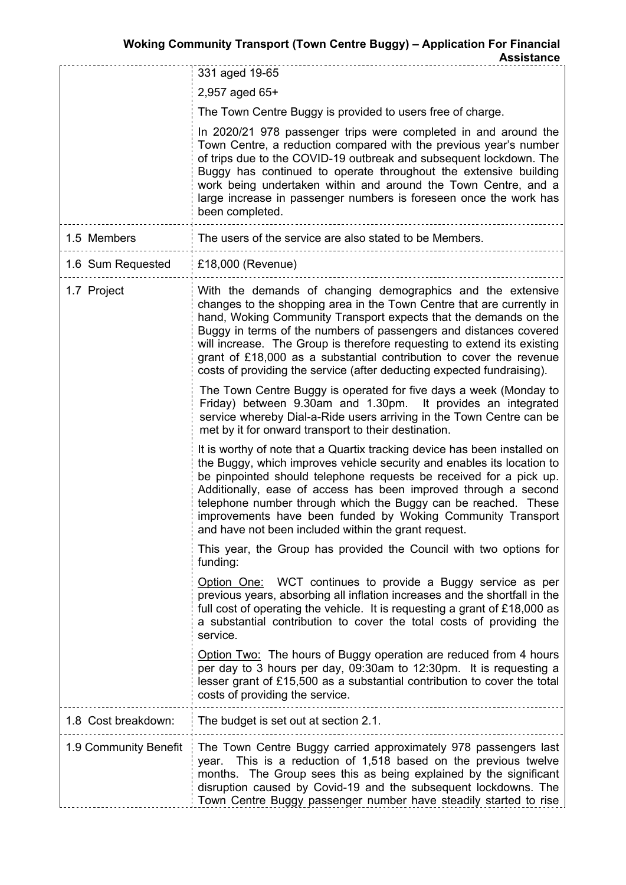**Assistance**

|                       | 331 aged 19-65                                                                                                                                                                                                                                                                                                                                                                                                                                                                                            |  |
|-----------------------|-----------------------------------------------------------------------------------------------------------------------------------------------------------------------------------------------------------------------------------------------------------------------------------------------------------------------------------------------------------------------------------------------------------------------------------------------------------------------------------------------------------|--|
|                       | 2,957 aged 65+                                                                                                                                                                                                                                                                                                                                                                                                                                                                                            |  |
|                       | The Town Centre Buggy is provided to users free of charge.                                                                                                                                                                                                                                                                                                                                                                                                                                                |  |
|                       | In 2020/21 978 passenger trips were completed in and around the<br>Town Centre, a reduction compared with the previous year's number<br>of trips due to the COVID-19 outbreak and subsequent lockdown. The<br>Buggy has continued to operate throughout the extensive building<br>work being undertaken within and around the Town Centre, and a<br>large increase in passenger numbers is foreseen once the work has<br>been completed.                                                                  |  |
| 1.5 Members           | The users of the service are also stated to be Members.                                                                                                                                                                                                                                                                                                                                                                                                                                                   |  |
| 1.6 Sum Requested     | £18,000 (Revenue)                                                                                                                                                                                                                                                                                                                                                                                                                                                                                         |  |
| 1.7 Project           | With the demands of changing demographics and the extensive<br>changes to the shopping area in the Town Centre that are currently in<br>hand, Woking Community Transport expects that the demands on the<br>Buggy in terms of the numbers of passengers and distances covered<br>will increase. The Group is therefore requesting to extend its existing<br>grant of £18,000 as a substantial contribution to cover the revenue<br>costs of providing the service (after deducting expected fundraising). |  |
|                       | The Town Centre Buggy is operated for five days a week (Monday to<br>Friday) between 9.30am and 1.30pm. It provides an integrated<br>service whereby Dial-a-Ride users arriving in the Town Centre can be<br>met by it for onward transport to their destination.                                                                                                                                                                                                                                         |  |
|                       | It is worthy of note that a Quartix tracking device has been installed on<br>the Buggy, which improves vehicle security and enables its location to<br>be pinpointed should telephone requests be received for a pick up.<br>Additionally, ease of access has been improved through a second<br>telephone number through which the Buggy can be reached. These<br>improvements have been funded by Woking Community Transport<br>and have not been included within the grant request.                     |  |
|                       | This year, the Group has provided the Council with two options for<br>funding:                                                                                                                                                                                                                                                                                                                                                                                                                            |  |
|                       | Option One: WCT continues to provide a Buggy service as per<br>previous years, absorbing all inflation increases and the shortfall in the<br>full cost of operating the vehicle. It is requesting a grant of £18,000 as<br>a substantial contribution to cover the total costs of providing the<br>service.                                                                                                                                                                                               |  |
|                       | Option Two: The hours of Buggy operation are reduced from 4 hours<br>per day to 3 hours per day, 09:30am to 12:30pm. It is requesting a<br>lesser grant of £15,500 as a substantial contribution to cover the total<br>costs of providing the service.                                                                                                                                                                                                                                                    |  |
| 1.8 Cost breakdown:   | The budget is set out at section 2.1.                                                                                                                                                                                                                                                                                                                                                                                                                                                                     |  |
| 1.9 Community Benefit | The Town Centre Buggy carried approximately 978 passengers last<br>year. This is a reduction of 1,518 based on the previous twelve<br>months. The Group sees this as being explained by the significant<br>disruption caused by Covid-19 and the subsequent lockdowns. The<br>Town Centre Buggy passenger number have steadily started to rise                                                                                                                                                            |  |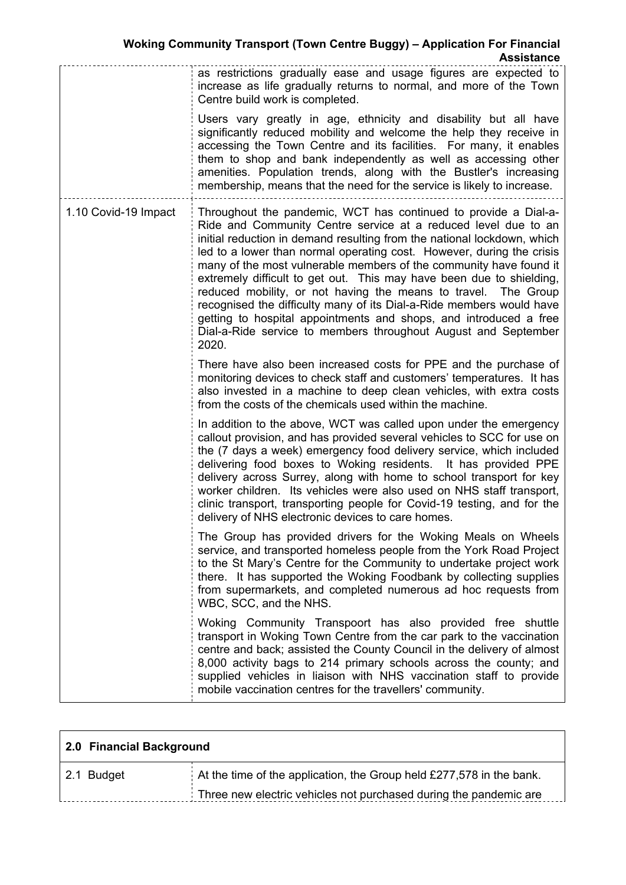|                      | ASSISLAIIUU<br>as restrictions gradually ease and usage figures are expected to<br>increase as life gradually returns to normal, and more of the Town<br>Centre build work is completed.<br>Users vary greatly in age, ethnicity and disability but all have<br>significantly reduced mobility and welcome the help they receive in<br>accessing the Town Centre and its facilities. For many, it enables<br>them to shop and bank independently as well as accessing other<br>amenities. Population trends, along with the Bustler's increasing<br>membership, means that the need for the service is likely to increase.                                                                                                    |
|----------------------|-------------------------------------------------------------------------------------------------------------------------------------------------------------------------------------------------------------------------------------------------------------------------------------------------------------------------------------------------------------------------------------------------------------------------------------------------------------------------------------------------------------------------------------------------------------------------------------------------------------------------------------------------------------------------------------------------------------------------------|
| 1.10 Covid-19 Impact | Throughout the pandemic, WCT has continued to provide a Dial-a-<br>Ride and Community Centre service at a reduced level due to an<br>initial reduction in demand resulting from the national lockdown, which<br>led to a lower than normal operating cost. However, during the crisis<br>many of the most vulnerable members of the community have found it<br>extremely difficult to get out. This may have been due to shielding,<br>reduced mobility, or not having the means to travel. The Group<br>recognised the difficulty many of its Dial-a-Ride members would have<br>getting to hospital appointments and shops, and introduced a free<br>Dial-a-Ride service to members throughout August and September<br>2020. |
|                      | There have also been increased costs for PPE and the purchase of<br>monitoring devices to check staff and customers' temperatures. It has<br>also invested in a machine to deep clean vehicles, with extra costs<br>from the costs of the chemicals used within the machine.                                                                                                                                                                                                                                                                                                                                                                                                                                                  |
|                      | In addition to the above, WCT was called upon under the emergency<br>callout provision, and has provided several vehicles to SCC for use on<br>the (7 days a week) emergency food delivery service, which included<br>delivering food boxes to Woking residents. It has provided PPE<br>delivery across Surrey, along with home to school transport for key<br>worker children. Its vehicles were also used on NHS staff transport,<br>clinic transport, transporting people for Covid-19 testing, and for the<br>delivery of NHS electronic devices to care homes.                                                                                                                                                           |
|                      | The Group has provided drivers for the Woking Meals on Wheels<br>service, and transported homeless people from the York Road Project<br>to the St Mary's Centre for the Community to undertake project work<br>there. It has supported the Woking Foodbank by collecting supplies<br>from supermarkets, and completed numerous ad hoc requests from<br>WBC, SCC, and the NHS.                                                                                                                                                                                                                                                                                                                                                 |
|                      | Woking Community Transpoort has also provided free shuttle<br>transport in Woking Town Centre from the car park to the vaccination<br>centre and back; assisted the County Council in the delivery of almost<br>8,000 activity bags to 214 primary schools across the county; and<br>supplied vehicles in liaison with NHS vaccination staff to provide<br>mobile vaccination centres for the travellers' community.                                                                                                                                                                                                                                                                                                          |

| 2.0 Financial Background |                                                                        |
|--------------------------|------------------------------------------------------------------------|
| 2.1 Budget               | At the time of the application, the Group held $£277,578$ in the bank. |
|                          | Three new electric vehicles not purchased during the pandemic are      |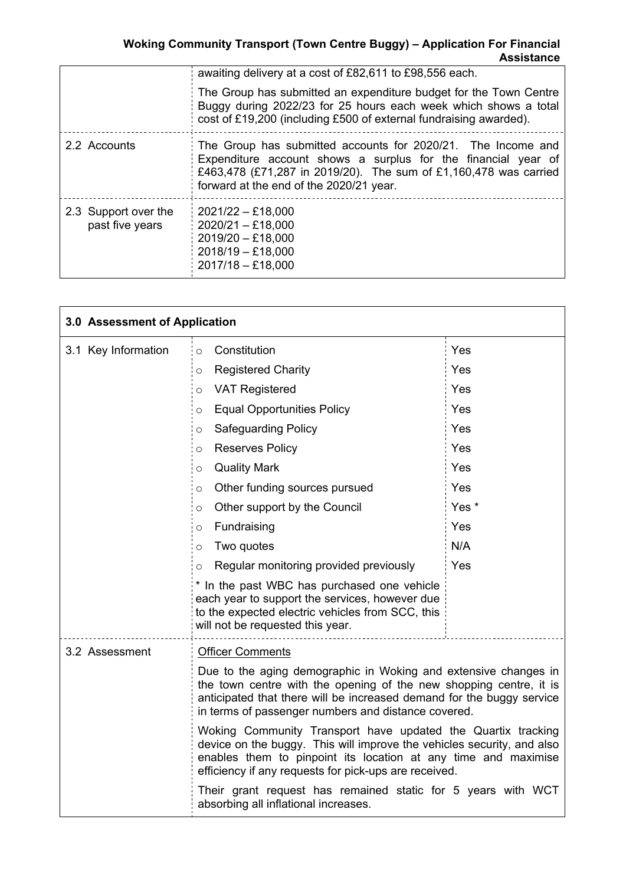|                                         | awaiting delivery at a cost of £82,611 to £98,556 each.                                                                                                                                                                                      |  |
|-----------------------------------------|----------------------------------------------------------------------------------------------------------------------------------------------------------------------------------------------------------------------------------------------|--|
|                                         | The Group has submitted an expenditure budget for the Town Centre<br>Buggy during 2022/23 for 25 hours each week which shows a total<br>cost of £19,200 (including £500 of external fundraising awarded).                                    |  |
| 2.2 Accounts                            | The Group has submitted accounts for 2020/21. The Income and<br>Expenditure account shows a surplus for the financial year of<br>£463,478 (£71,287 in 2019/20). The sum of £1,160,478 was carried<br>forward at the end of the 2020/21 year. |  |
| 2.3 Support over the<br>past five years | $2021/22 - £18,000$<br>$2020/21 - £18,000$<br>$2019/20 - £18,000$<br>$2018/19 - £18,000$<br>$2017/18 - £18,000$                                                                                                                              |  |

| 3.0 Assessment of Application |                                                                                                                                                                                                                                                                       |       |
|-------------------------------|-----------------------------------------------------------------------------------------------------------------------------------------------------------------------------------------------------------------------------------------------------------------------|-------|
| 3.1 Key Information           | Constitution<br>$\circ$                                                                                                                                                                                                                                               | Yes   |
|                               | <b>Registered Charity</b><br>O                                                                                                                                                                                                                                        | Yes   |
|                               | <b>VAT Registered</b><br>O                                                                                                                                                                                                                                            | Yes   |
|                               | <b>Equal Opportunities Policy</b><br>O                                                                                                                                                                                                                                | Yes   |
|                               | <b>Safeguarding Policy</b><br>O                                                                                                                                                                                                                                       | Yes   |
|                               | <b>Reserves Policy</b><br>O                                                                                                                                                                                                                                           | Yes   |
|                               | <b>Quality Mark</b><br>O                                                                                                                                                                                                                                              | Yes   |
|                               | Other funding sources pursued<br>O                                                                                                                                                                                                                                    | Yes   |
|                               | Other support by the Council<br>O                                                                                                                                                                                                                                     | Yes * |
|                               | Fundraising<br>O                                                                                                                                                                                                                                                      | Yes   |
|                               | Two quotes<br>$\circ$                                                                                                                                                                                                                                                 | N/A   |
|                               | Regular monitoring provided previously<br>O                                                                                                                                                                                                                           | Yes   |
|                               | * In the past WBC has purchased one vehicle<br>each year to support the services, however due<br>to the expected electric vehicles from SCC, this<br>will not be requested this year.                                                                                 |       |
| 3.2 Assessment                | <b>Officer Comments</b>                                                                                                                                                                                                                                               |       |
|                               | Due to the aging demographic in Woking and extensive changes in<br>the town centre with the opening of the new shopping centre, it is<br>anticipated that there will be increased demand for the buggy service<br>in terms of passenger numbers and distance covered. |       |
|                               | Woking Community Transport have updated the Quartix tracking<br>device on the buggy. This will improve the vehicles security, and also<br>enables them to pinpoint its location at any time and maximise<br>efficiency if any requests for pick-ups are received.     |       |
|                               | Their grant request has remained static for 5 years with WCT<br>absorbing all inflational increases.                                                                                                                                                                  |       |